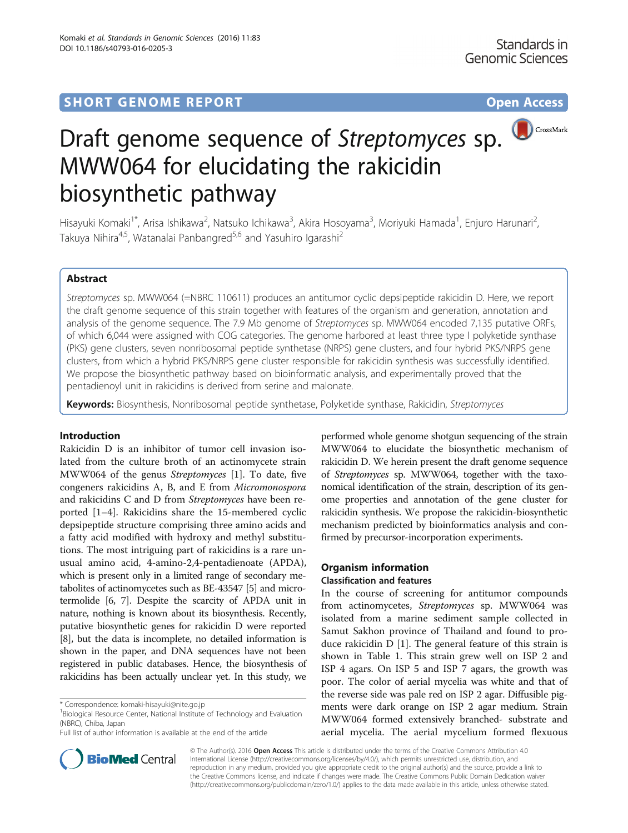

# Draft genome sequence of Streptomyces sp. MWW064 for elucidating the rakicidin biosynthetic pathway

Hisayuki Komaki<sup>1\*</sup>, Arisa Ishikawa<sup>2</sup>, Natsuko Ichikawa<sup>3</sup>, Akira Hosoyama<sup>3</sup>, Moriyuki Hamada<sup>1</sup>, Enjuro Harunari<sup>2</sup> .<br>, Takuya Nihira<sup>4,5</sup>, Watanalai Panbangred<sup>5,6</sup> and Yasuhiro Igarashi<sup>2</sup>

# Abstract

Streptomyces sp. MWW064 (=NBRC 110611) produces an antitumor cyclic depsipeptide rakicidin D. Here, we report the draft genome sequence of this strain together with features of the organism and generation, annotation and analysis of the genome sequence. The 7.9 Mb genome of Streptomyces sp. MWW064 encoded 7,135 putative ORFs, of which 6,044 were assigned with COG categories. The genome harbored at least three type I polyketide synthase (PKS) gene clusters, seven nonribosomal peptide synthetase (NRPS) gene clusters, and four hybrid PKS/NRPS gene clusters, from which a hybrid PKS/NRPS gene cluster responsible for rakicidin synthesis was successfully identified. We propose the biosynthetic pathway based on bioinformatic analysis, and experimentally proved that the pentadienoyl unit in rakicidins is derived from serine and malonate.

Keywords: Biosynthesis, Nonribosomal peptide synthetase, Polyketide synthase, Rakicidin, Streptomyces

# Introduction

Rakicidin D is an inhibitor of tumor cell invasion isolated from the culture broth of an actinomycete strain MWW064 of the genus [Streptomyces](http://doi.org/10.1601/nm.6817) [\[1\]](#page-7-0). To date, five congeners rakicidins A, B, and E from [Micromonospora](http://doi.org/10.1601/nm.6519) and rakicidins C and D from [Streptomyces](http://doi.org/10.1601/nm.6817) have been reported [\[1](#page-7-0)–[4\]](#page-7-0). Rakicidins share the 15-membered cyclic depsipeptide structure comprising three amino acids and a fatty acid modified with hydroxy and methyl substitutions. The most intriguing part of rakicidins is a rare unusual amino acid, 4-amino-2,4-pentadienoate (APDA), which is present only in a limited range of secondary metabolites of actinomycetes such as BE-43547 [\[5](#page-7-0)] and microtermolide [\[6, 7\]](#page-7-0). Despite the scarcity of APDA unit in nature, nothing is known about its biosynthesis. Recently, putative biosynthetic genes for rakicidin D were reported [[8](#page-7-0)], but the data is incomplete, no detailed information is shown in the paper, and DNA sequences have not been registered in public databases. Hence, the biosynthesis of rakicidins has been actually unclear yet. In this study, we

performed whole genome shotgun sequencing of the strain MWW064 to elucidate the biosynthetic mechanism of rakicidin D. We herein present the draft genome sequence of [Streptomyces](http://doi.org/10.1601/nm.6817) sp. MWW064, together with the taxonomical identification of the strain, description of its genome properties and annotation of the gene cluster for rakicidin synthesis. We propose the rakicidin-biosynthetic mechanism predicted by bioinformatics analysis and confirmed by precursor-incorporation experiments.

# Organism information

## Classification and features

In the course of screening for antitumor compounds from actinomycetes, [Streptomyces](http://doi.org/10.1601/nm.6817) sp. MWW064 was isolated from a marine sediment sample collected in [Samut Sakhon province](https://www.google.com/maps/place/Samut+Sakhon,+Thailand) of [Thailand](https://www.google.com/maps/place/Thailand) and found to produce rakicidin D [[1\]](#page-7-0). The general feature of this strain is shown in Table [1.](#page-1-0) This strain grew well on ISP 2 and ISP 4 agars. On ISP 5 and ISP 7 agars, the growth was poor. The color of aerial mycelia was white and that of the reverse side was pale red on ISP 2 agar. Diffusible pigments were dark orange on ISP 2 agar medium. Strain MWW064 formed extensively branched- substrate and aerial mycelia. The aerial mycelium formed flexuous



© The Author(s). 2016 Open Access This article is distributed under the terms of the Creative Commons Attribution 4.0 International License [\(http://creativecommons.org/licenses/by/4.0/](http://creativecommons.org/licenses/by/4.0/)), which permits unrestricted use, distribution, and reproduction in any medium, provided you give appropriate credit to the original author(s) and the source, provide a link to the Creative Commons license, and indicate if changes were made. The Creative Commons Public Domain Dedication waiver [\(http://creativecommons.org/publicdomain/zero/1.0/](http://creativecommons.org/publicdomain/zero/1.0/)) applies to the data made available in this article, unless otherwise stated.

<sup>\*</sup> Correspondence: [komaki-hisayuki@nite.go.jp](mailto:komaki-hisayuki@nite.go.jp) <sup>1</sup>

<sup>&</sup>lt;sup>1</sup> Biological Resource Center, National Institute of Technology and Evaluation (NBRC), Chiba, Japan

Full list of author information is available at the end of the article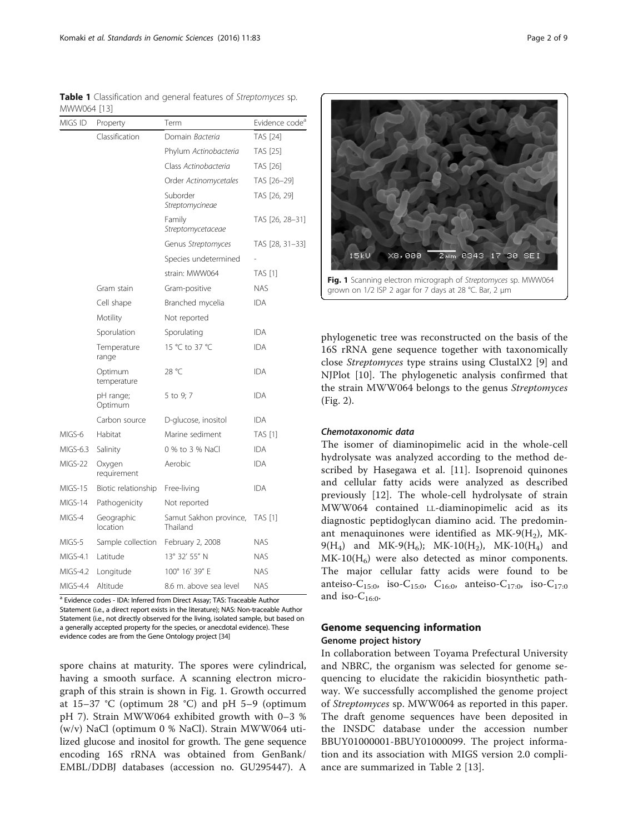<span id="page-1-0"></span>Table 1 Classification and general features of Streptomyces sp. MWW064 [\[13\]](#page-7-0)

| MIGS ID  | Property               | Term                               | Evidence code <sup>a</sup> |
|----------|------------------------|------------------------------------|----------------------------|
|          | Classification         | Domain Bacteria                    | <b>TAS [24]</b>            |
|          |                        | Phylum Actinobacteria              | TAS [25]                   |
|          |                        | Class Actinobacteria               | TAS [26]                   |
|          |                        | Order Actinomycetales              | TAS [26-29]                |
|          |                        | Suborder<br>Streptomycineae        | TAS [26, 29]               |
|          |                        | Family<br>Streptomycetaceae        | TAS [26, 28–31]            |
|          |                        | Genus Streptomyces                 | TAS [28, 31-33]            |
|          |                        | Species undetermined               |                            |
|          |                        | strain: MWW064                     | TAS [1]                    |
|          | Gram stain             | Gram-positive                      | <b>NAS</b>                 |
|          | Cell shape             | Branched mycelia                   | <b>IDA</b>                 |
|          | Motility               | Not reported                       |                            |
|          | Sporulation            | Sporulating                        | <b>IDA</b>                 |
|          | Temperature<br>range   | 15 °C to 37 °C                     | <b>IDA</b>                 |
|          | Optimum<br>temperature | 28 °C                              | <b>IDA</b>                 |
|          | pH range;<br>Optimum   | 5 to 9; 7                          | <b>IDA</b>                 |
|          | Carbon source          | D-glucose, inositol                | IDA                        |
| MIGS-6   | Habitat                | Marine sediment                    | <b>TAS [1]</b>             |
| MIGS-6.3 | Salinity               | 0 % to 3 % NaCl                    | IDA                        |
| MIGS-22  | Oxygen<br>requirement  | Aerobic                            | <b>IDA</b>                 |
| MIGS-15  | Biotic relationship    | Free-living                        | <b>IDA</b>                 |
| MIGS-14  | Pathogenicity          | Not reported                       |                            |
| MIGS-4   | Geographic<br>location | Samut Sakhon province,<br>Thailand | <b>TAS [1]</b>             |
| MIGS-5   | Sample collection      | February 2, 2008                   | <b>NAS</b>                 |
| MIGS-4.1 | Latitude               | 13° 32' 55" N                      | <b>NAS</b>                 |
| MIGS-4.2 | Longitude              | 100° 16' 39" E                     | <b>NAS</b>                 |
| MIGS-4.4 | Altitude               | 8.6 m. above sea level             | <b>NAS</b>                 |

<sup>a</sup> Evidence codes - IDA: Inferred from Direct Assay: TAS: Traceable Author

Statement (i.e., a direct report exists in the literature); NAS: Non-traceable Author Statement (i.e., not directly observed for the living, isolated sample, but based on a generally accepted property for the species, or anecdotal evidence). These evidence codes are from the Gene Ontology project [[34\]](#page-8-0)

spore chains at maturity. The spores were cylindrical, having a smooth surface. A scanning electron micrograph of this strain is shown in Fig. 1. Growth occurred at 15–37 °C (optimum 28 °C) and pH 5–9 (optimum pH 7). Strain MWW064 exhibited growth with 0–3 % (w/v) NaCl (optimum 0 % NaCl). Strain MWW064 utilized glucose and inositol for growth. The gene sequence encoding 16S rRNA was obtained from GenBank/ EMBL/DDBJ databases (accession no. [GU295447](https://www.ncbi.nlm.nih.gov/nuccore/GU295447)). A



phylogenetic tree was reconstructed on the basis of the 16S rRNA gene sequence together with taxonomically close [Streptomyces](http://doi.org/10.1601/nm.6817) type strains using ClustalX2 [[9\]](#page-7-0) and NJPlot [[10](#page-7-0)]. The phylogenetic analysis confirmed that the strain MWW064 belongs to the genus [Streptomyces](http://doi.org/10.1601/nm.6817) (Fig. [2\)](#page-2-0).

#### Chemotaxonomic data

The isomer of diaminopimelic acid in the whole-cell hydrolysate was analyzed according to the method described by Hasegawa et al. [[11\]](#page-7-0). Isoprenoid quinones and cellular fatty acids were analyzed as described previously [\[12](#page-7-0)]. The whole-cell hydrolysate of strain MWW064 contained LL-diaminopimelic acid as its diagnostic peptidoglycan diamino acid. The predominant menaquinones were identified as  $MK-9(H<sub>2</sub>)$ , MK- $9(H_4)$  and MK-9(H<sub>6</sub>); MK-10(H<sub>2</sub>), MK-10(H<sub>4</sub>) and  $MK-10(H<sub>6</sub>)$  were also detected as minor components. The major cellular fatty acids were found to be anteiso-C<sub>15:0</sub>, iso-C<sub>15:0</sub>, C<sub>16:0</sub>, anteiso-C<sub>17:0</sub>, iso-C<sub>17:0</sub> and iso- $C_{16:0}$ .

# Genome sequencing information Genome project history

In collaboration between Toyama Prefectural University and NBRC, the organism was selected for genome sequencing to elucidate the rakicidin biosynthetic pathway. We successfully accomplished the genome project of [Streptomyces](http://doi.org/10.1601/nm.6817) sp. MWW064 as reported in this paper. The draft genome sequences have been deposited in the INSDC database under the accession number [BBUY01000001](https://www.ncbi.nlm.nih.gov/nuccore/BBUY01000001)-[BBUY01000099](https://www.ncbi.nlm.nih.gov/nuccore/BBUY01000099). The project information and its association with MIGS version 2.0 compliance are summarized in Table [2](#page-2-0) [[13\]](#page-7-0).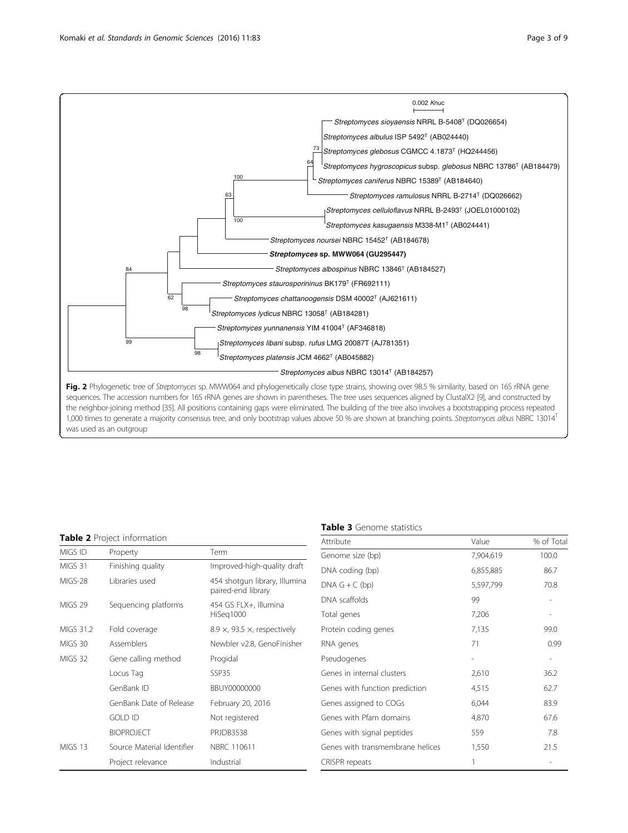<span id="page-2-0"></span>

was used as an outgroup

#### Table 2 Project information

#### Table 3 Genome statistics

| <b>lable 2</b> Project information |                            | Attribute                                           | Value                            | % of Tota                |                          |
|------------------------------------|----------------------------|-----------------------------------------------------|----------------------------------|--------------------------|--------------------------|
| MIGS ID                            | Property                   | Term                                                | Genome size (bp)                 | 7,904,619                | 100.0                    |
| MIGS 31                            | Finishing quality          | Improved-high-quality draft                         | DNA coding (bp)                  | 6,855,885                | 86.7                     |
| MIGS-28                            | Libraries used             | 454 shotqun library, Illumina<br>paired-end library | $DNA G + C (bp)$                 | 5,597,799                | 70.8                     |
| MIGS 29                            | Sequencing platforms       | 454 GS FLX+, Illumina                               | DNA scaffolds                    | 99                       | $\overline{\phantom{a}}$ |
|                                    |                            | HiSeg1000                                           | Total genes                      | 7,206                    |                          |
| MIGS 31.2                          | Fold coverage              | 8.9 $\times$ , 93.5 $\times$ , respectively         | Protein coding genes             | 7,135                    | 99.0                     |
| MIGS 30                            | Assemblers                 | Newbler v2.8, GenoFinisher                          | RNA genes                        | 71                       | 0.99                     |
| MIGS 32                            | Gene calling method        | Progidal                                            | Pseudogenes                      | $\overline{\phantom{a}}$ | $\overline{\phantom{a}}$ |
|                                    | Locus Tag                  | SSP35                                               | Genes in internal clusters       | 2,610                    | 36.2                     |
|                                    | GenBank ID                 | BBUY00000000                                        | Genes with function prediction   | 4,515                    | 62.7                     |
|                                    | GenBank Date of Release    | February 20, 2016                                   | Genes assigned to COGs           | 6,044                    | 83.9                     |
|                                    | <b>GOLD ID</b>             | Not registered                                      | Genes with Pfam domains          | 4,870                    | 67.6                     |
|                                    | <b>BIOPROJECT</b>          | <b>PRJDB3538</b>                                    | Genes with signal peptides       | 559                      | 7.8                      |
| MIGS 13                            | Source Material Identifier | NBRC 110611                                         | Genes with transmembrane helices | 1,550                    | 21.5                     |
|                                    | Project relevance          | Industrial                                          | <b>CRISPR</b> repeats            |                          |                          |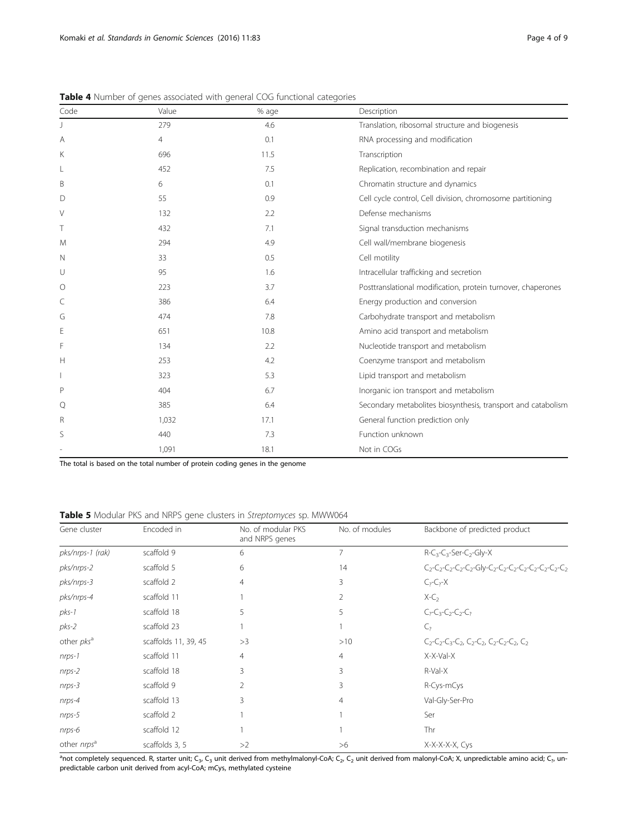| Code | Value          | % age | Description                                                  |
|------|----------------|-------|--------------------------------------------------------------|
| J    | 279            | 4.6   | Translation, ribosomal structure and biogenesis              |
| Α    | $\overline{4}$ | 0.1   | RNA processing and modification                              |
| Κ    | 696            | 11.5  | Transcription                                                |
|      | 452            | 7.5   | Replication, recombination and repair                        |
| Β    | 6              | 0.1   | Chromatin structure and dynamics                             |
| D    | 55             | 0.9   | Cell cycle control, Cell division, chromosome partitioning   |
| V    | 132            | 2.2   | Defense mechanisms                                           |
| Т    | 432            | 7.1   | Signal transduction mechanisms                               |
| M    | 294            | 4.9   | Cell wall/membrane biogenesis                                |
| N    | 33             | 0.5   | Cell motility                                                |
| U    | 95             | 1.6   | Intracellular trafficking and secretion                      |
| O    | 223            | 3.7   | Posttranslational modification, protein turnover, chaperones |
| C    | 386            | 6.4   | Energy production and conversion                             |
| G    | 474            | 7.8   | Carbohydrate transport and metabolism                        |
| E    | 651            | 10.8  | Amino acid transport and metabolism                          |
| F    | 134            | 2.2   | Nucleotide transport and metabolism                          |
| Н    | 253            | 4.2   | Coenzyme transport and metabolism                            |
|      | 323            | 5.3   | Lipid transport and metabolism                               |
| P    | 404            | 6.7   | Inorganic ion transport and metabolism                       |
| Q    | 385            | 6.4   | Secondary metabolites biosynthesis, transport and catabolism |
| R    | 1,032          | 17.1  | General function prediction only                             |
| S    | 440            | 7.3   | Function unknown                                             |
|      | 1,091          | 18.1  | Not in COGs                                                  |

<span id="page-3-0"></span>Table 4 Number of genes associated with general COG functional categories

The total is based on the total number of protein coding genes in the genome

Table 5 Modular PKS and NRPS gene clusters in Streptomyces sp. MWW064

| Gene cluster            | Encoded in           | No. of modular PKS<br>and NRPS genes | No. of modules | Backbone of predicted product                                                                                                                                                             |
|-------------------------|----------------------|--------------------------------------|----------------|-------------------------------------------------------------------------------------------------------------------------------------------------------------------------------------------|
| pks/nrps-1 (rak)        | scaffold 9           | 6                                    | 7              | R-C <sub>3</sub> -C <sub>3</sub> -Ser-C <sub>2</sub> -Gly-X                                                                                                                               |
| pks/nrps-2              | scaffold 5           | 6                                    | 14             | $C_2$ -C <sub>2</sub> -C <sub>2</sub> -C <sub>2</sub> -G <sub>2</sub> -Gly-C <sub>2</sub> -C <sub>2</sub> -C <sub>2</sub> -C <sub>2</sub> -C <sub>2</sub> -C <sub>2</sub> -C <sub>2</sub> |
| pks/nrps-3              | scaffold 2           | 4                                    | 3              | $C_2-C_2-X$                                                                                                                                                                               |
| pks/nrps-4              | scaffold 11          |                                      | 2              | $X-C2$                                                                                                                                                                                    |
| $pks-1$                 | scaffold 18          | 5                                    | 5              | $C_2-C_3-C_2-C_2-C_2$                                                                                                                                                                     |
| $pks-2$                 | scaffold 23          |                                      |                | $\mathsf{C}_{2}$                                                                                                                                                                          |
| other pks <sup>a</sup>  | scaffolds 11, 39, 45 | >3                                   | >10            | $C_2$ - $C_3$ - $C_3$ - $C_2$ , $C_3$ - $C_3$ , $C_3$ - $C_3$ - $C_3$ , $C_2$                                                                                                             |
| $n$ rps-1               | scaffold 11          | $\overline{4}$                       | $\overline{4}$ | X-X-Val-X                                                                                                                                                                                 |
| $nrs-2$                 | scaffold 18          | 3                                    | 3              | R-Val-X                                                                                                                                                                                   |
| $nrs-3$                 | scaffold 9           | 2                                    | 3              | R-Cys-mCys                                                                                                                                                                                |
| $nrs-4$                 | scaffold 13          | 3                                    | $\overline{4}$ | Val-Gly-Ser-Pro                                                                                                                                                                           |
| $nrs-5$                 | scaffold 2           |                                      |                | Ser                                                                                                                                                                                       |
| nrps-6                  | scaffold 12          |                                      |                | Thr                                                                                                                                                                                       |
| other nrps <sup>a</sup> | scaffolds 3, 5       | >2                                   | >6             | X-X-X-X-X, Cys                                                                                                                                                                            |

<sup>a</sup>not completely sequenced. R, starter unit; C<sub>3</sub>, C<sub>3</sub> unit derived from methylmalonyl-CoA; C<sub>2</sub>, C<sub>2</sub> unit derived from malonyl-CoA; X, unpredictable amino acid; C<sub>2</sub>, unpredictable carbon unit derived from acyl-CoA; mCys, methylated cysteine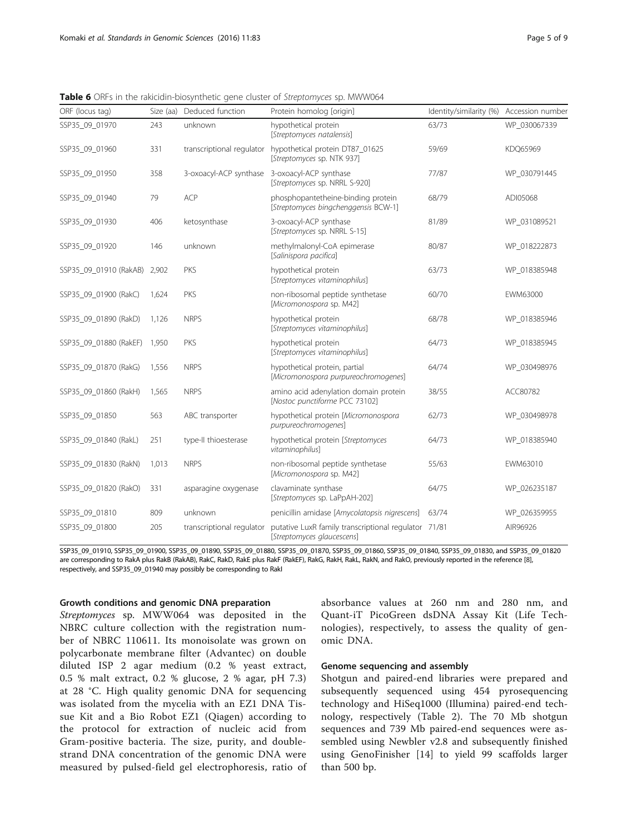| ORF (locus tag)              | Size (aa) | Deduced function          | Protein homolog [origin]                                                                | Identity/similarity (%) | Accession number |
|------------------------------|-----------|---------------------------|-----------------------------------------------------------------------------------------|-------------------------|------------------|
| SSP35 09 01970               | 243       | unknown                   | hypothetical protein<br>[Streptomyces natalensis]                                       | 63/73                   | WP 030067339     |
| SSP35 09 01960               | 331       |                           | transcriptional regulator hypothetical protein DT87_01625<br>[Streptomyces sp. NTK 937] | 59/69                   | KDQ65969         |
| SSP35 09 01950               | 358       |                           | 3-oxoacyl-ACP synthase 3-oxoacyl-ACP synthase<br>[Streptomyces sp. NRRL S-920]          | 77/87                   | WP 030791445     |
| SSP35 09 01940               | 79        | ACP                       | phosphopantetheine-binding protein<br>[Streptomyces bingchenggensis BCW-1]              | 68/79                   | ADI05068         |
| SSP35 09 01930               | 406       | ketosynthase              | 3-oxoacyl-ACP synthase<br>[Streptomyces sp. NRRL S-15]                                  | 81/89                   | WP 031089521     |
| SSP35_09_01920               | 146       | unknown                   | methylmalonyl-CoA epimerase<br>[Salinispora pacifica]                                   | 80/87                   | WP_018222873     |
| SSP35_09_01910 (RakAB)       | 2,902     | PKS                       | hypothetical protein<br>[Streptomyces vitaminophilus]                                   | 63/73                   | WP_018385948     |
| SSP35_09_01900 (RakC)        | 1,624     | PKS                       | non-ribosomal peptide synthetase<br>[Micromonospora sp. M42]                            | 60/70                   | EWM63000         |
| SSP35_09_01890 (RakD)        | 1,126     | <b>NRPS</b>               | hypothetical protein<br>[Streptomyces vitaminophilus]                                   | 68/78                   | WP_018385946     |
| SSP35 09 01880 (RakEF) 1,950 |           | PKS                       | hypothetical protein<br>[Streptomyces vitaminophilus]                                   | 64/73                   | WP 018385945     |
| SSP35 09 01870 (RakG)        | 1,556     | <b>NRPS</b>               | hypothetical protein, partial<br>[Micromonospora purpureochromogenes]                   | 64/74                   | WP 030498976     |
| SSP35_09_01860 (RakH)        | 1,565     | <b>NRPS</b>               | amino acid adenylation domain protein<br>[Nostoc punctiforme PCC 73102]                 | 38/55                   | ACC80782         |
| SSP35_09_01850               | 563       | ABC transporter           | hypothetical protein [Micromonospora<br>purpureochromogenes]                            | 62/73                   | WP_030498978     |
| SSP35_09_01840 (RakL)        | 251       | type-II thioesterase      | hypothetical protein [Streptomyces<br>vitaminophilus]                                   | 64/73                   | WP_018385940     |
| SSP35_09_01830 (RakN)        | 1,013     | <b>NRPS</b>               | non-ribosomal peptide synthetase<br>[Micromonospora sp. M42]                            | 55/63                   | EWM63010         |
| SSP35_09_01820 (RakO)        | 331       | asparagine oxygenase      | clavaminate synthase<br>[Streptomyces sp. LaPpAH-202]                                   | 64/75                   | WP_026235187     |
| SSP35_09_01810               | 809       | unknown                   | penicillin amidase [Amycolatopsis nigrescens]                                           | 63/74                   | WP 026359955     |
| SSP35 09 01800               | 205       | transcriptional regulator | putative LuxR family transcriptional regulator 71/81<br>[Streptomyces alaucescens]      |                         | AIR96926         |

<span id="page-4-0"></span>Table 6 ORFs in the rakicidin-biosynthetic gene cluster of Streptomyces sp. MWW064

SSP35\_09\_01910, SSP35\_09\_01900, SSP35\_09\_01890, SSP35\_09\_01880, SSP35\_09\_01870, SSP35\_09\_01860, SSP35\_09\_01840, SSP35\_09\_01830, and SSP35\_09\_01820 are corresponding to RakA plus RakB (RakAB), RakC, RakD, RakE plus RakF (RakEF), RakG, RakH, RakL, RakN, and RakO, previously reported in the reference [\[8\]](#page-7-0), respectively, and SSP35\_09\_01940 may possibly be corresponding to RakI

#### Growth conditions and genomic DNA preparation

[Streptomyces](http://doi.org/10.1601/nm.6817) sp. MWW064 was deposited in the NBRC culture collection with the registration number of [NBRC 110611.](http://doi.org/10.1601/strainfinder?urlappend=%3Fid%3DNBRC+110611) Its monoisolate was grown on polycarbonate membrane filter (Advantec) on double diluted ISP 2 agar medium (0.2 % yeast extract, 0.5 % malt extract, 0.2 % glucose, 2 % agar, pH 7.3) at 28 °C. High quality genomic DNA for sequencing was isolated from the mycelia with an EZ1 DNA Tissue Kit and a Bio Robot EZ1 (Qiagen) according to the protocol for extraction of nucleic acid from Gram-positive bacteria. The size, purity, and doublestrand DNA concentration of the genomic DNA were measured by pulsed-field gel electrophoresis, ratio of absorbance values at 260 nm and 280 nm, and Quant-iT PicoGreen dsDNA Assay Kit (Life Technologies), respectively, to assess the quality of genomic DNA.

## Genome sequencing and assembly

Shotgun and paired-end libraries were prepared and subsequently sequenced using 454 pyrosequencing technology and HiSeq1000 (Illumina) paired-end technology, respectively (Table [2](#page-2-0)). The 70 Mb shotgun sequences and 739 Mb paired-end sequences were assembled using Newbler v2.8 and subsequently finished using GenoFinisher [[14](#page-7-0)] to yield 99 scaffolds larger than 500 bp.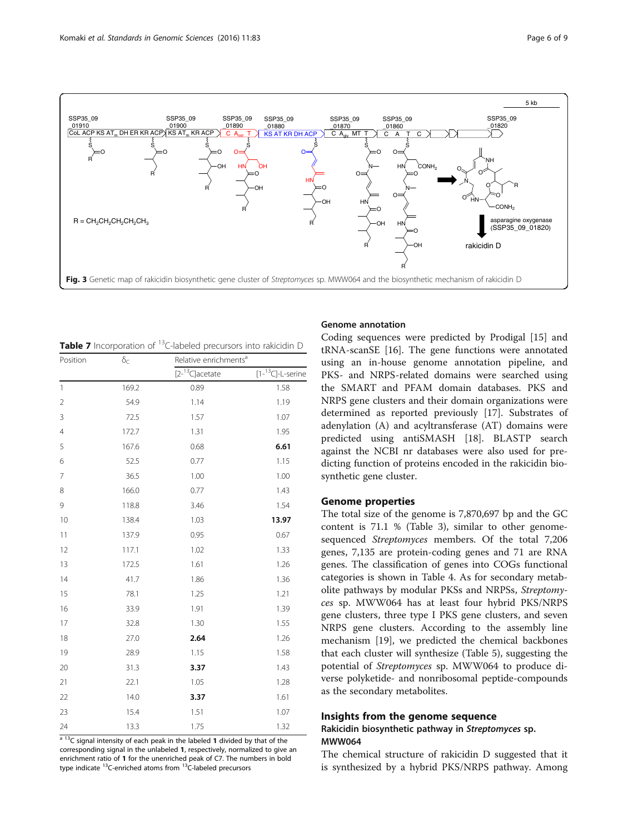<span id="page-5-0"></span>

| Table 7 Incorporation of <sup>13</sup> C-labeled precursors into rakicidin D |  |  |  |
|------------------------------------------------------------------------------|--|--|--|
|------------------------------------------------------------------------------|--|--|--|

| Position       | $\delta_{C}$ | Relative enrichments <sup>a</sup> |                                       |  |
|----------------|--------------|-----------------------------------|---------------------------------------|--|
|                |              | $[2^{-13}C]$ acetate              | $\overline{[1 - {^{13}C}]}$ -L-serine |  |
| $\mathbf{1}$   | 169.2        | 0.89                              | 1.58                                  |  |
| $\overline{2}$ | 54.9         | 1.14                              | 1.19                                  |  |
| 3              | 72.5         | 1.57                              | 1.07                                  |  |
| $\overline{4}$ | 172.7        | 1.31                              | 1.95                                  |  |
| 5              | 167.6        | 0.68                              | 6.61                                  |  |
| 6              | 52.5         | 0.77                              | 1.15                                  |  |
| 7              | 36.5         | 1.00                              | 1.00                                  |  |
| 8              | 166.0        | 0.77                              | 1.43                                  |  |
| 9              | 118.8        | 3.46                              | 1.54                                  |  |
| 10             | 138.4        | 1.03                              | 13.97                                 |  |
| 11             | 137.9        | 0.95                              | 0.67                                  |  |
| 12             | 117.1        | 1.02                              | 1.33                                  |  |
| 13             | 172.5        | 1.61                              | 1.26                                  |  |
| 14             | 41.7         | 1.86                              | 1.36                                  |  |
| 15             | 78.1         | 1.25                              | 1.21                                  |  |
| 16             | 33.9         | 1.91                              | 1.39                                  |  |
| 17             | 32.8         | 1.30                              | 1.55                                  |  |
| 18             | 27.0         | 2.64                              | 1.26                                  |  |
| 19             | 28.9         | 1.15                              | 1.58                                  |  |
| 20             | 31.3         | 3.37                              | 1.43                                  |  |
| 21             | 22.1         | 1.05                              | 1.28                                  |  |
| 22             | 14.0         | 3.37                              | 1.61                                  |  |
| 23             | 15.4         | 1.51                              | 1.07                                  |  |
| 24             | 13.3         | 1.75                              | 1.32                                  |  |

 $a^{-13}C$  signal intensity of each peak in the labeled 1 divided by that of the corresponding signal in the unlabeled 1, respectively, normalized to give an enrichment ratio of 1 for the unenriched peak of C7. The numbers in bold type indicate <sup>13</sup>C-enriched atoms from <sup>13</sup>C-labeled precursors

#### Genome annotation

Coding sequences were predicted by Prodigal [\[15\]](#page-7-0) and tRNA-scanSE [\[16\]](#page-7-0). The gene functions were annotated using an in-house genome annotation pipeline, and PKS- and NRPS-related domains were searched using the SMART and PFAM domain databases. PKS and NRPS gene clusters and their domain organizations were determined as reported previously [\[17\]](#page-7-0). Substrates of adenylation (A) and acyltransferase (AT) domains were predicted using antiSMASH [\[18\]](#page-7-0). BLASTP search against the NCBI nr databases were also used for predicting function of proteins encoded in the rakicidin biosynthetic gene cluster.

#### Genome properties

The total size of the genome is 7,870,697 bp and the GC content is 71.1 % (Table [3](#page-2-0)), similar to other genomesequenced [Streptomyces](http://doi.org/10.1601/nm.6817) members. Of the total 7,206 genes, 7,135 are protein-coding genes and 71 are RNA genes. The classification of genes into COGs functional categories is shown in Table [4](#page-3-0). As for secondary metabolite pathways by modular PKSs and NRPSs, [Streptomy](http://doi.org/10.1601/nm.6817)[ces](http://doi.org/10.1601/nm.6817) sp. MWW064 has at least four hybrid PKS/NRPS gene clusters, three type I PKS gene clusters, and seven NRPS gene clusters. According to the assembly line mechanism [\[19\]](#page-7-0), we predicted the chemical backbones that each cluster will synthesize (Table [5\)](#page-3-0), suggesting the potential of [Streptomyces](http://doi.org/10.1601/nm.6817) sp. MWW064 to produce diverse polyketide- and nonribosomal peptide-compounds as the secondary metabolites.

### Insights from the genome sequence

# Rakicidin biosynthetic pathway in [Streptomyces](http://doi.org/10.1601/nm.6817) sp. MWW064

The chemical structure of rakicidin D suggested that it is synthesized by a hybrid PKS/NRPS pathway. Among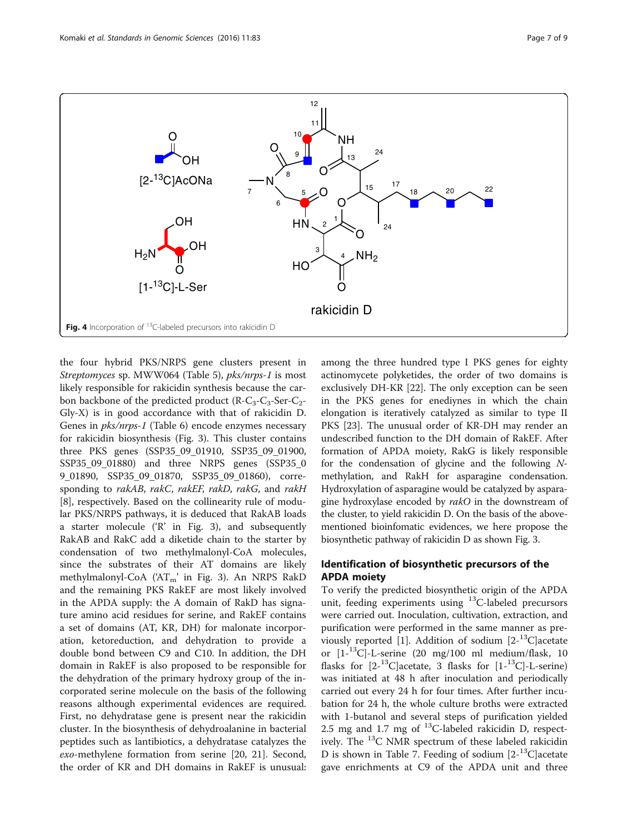<span id="page-6-0"></span>

the four hybrid PKS/NRPS gene clusters present in [Streptomyces](http://doi.org/10.1601/nm.6817) sp. MWW064 (Table [5\)](#page-3-0), pks/nrps-1 is most likely responsible for rakicidin synthesis because the carbon backbone of the predicted product  $(R-C_3-C_3-SET-C_2-$ Gly-X) is in good accordance with that of rakicidin D. Genes in pks/nrps-1 (Table [6](#page-4-0)) encode enzymes necessary for rakicidin biosynthesis (Fig. [3\)](#page-5-0). This cluster contains three PKS genes (SSP35\_09\_01910, SSP35\_09\_01900, SSP35\_09\_01880) and three NRPS genes (SSP35\_0 9\_01890, SSP35\_09\_01870, SSP35\_09\_01860), corresponding to rakAB, rakC, rakEF, rakD, rakG, and rakH [[8\]](#page-7-0), respectively. Based on the collinearity rule of modular PKS/NRPS pathways, it is deduced that RakAB loads a starter molecule ('R' in Fig. [3](#page-5-0)), and subsequently RakAB and RakC add a diketide chain to the starter by condensation of two methylmalonyl-CoA molecules, since the substrates of their AT domains are likely methylmalonyl-CoA ('ATm' in Fig. [3\)](#page-5-0). An NRPS RakD and the remaining PKS RakEF are most likely involved in the APDA supply: the A domain of RakD has signature amino acid residues for serine, and RakEF contains a set of domains (AT, KR, DH) for malonate incorporation, ketoreduction, and dehydration to provide a double bond between C9 and C10. In addition, the DH domain in RakEF is also proposed to be responsible for the dehydration of the primary hydroxy group of the incorporated serine molecule on the basis of the following reasons although experimental evidences are required. First, no dehydratase gene is present near the rakicidin cluster. In the biosynthesis of dehydroalanine in bacterial peptides such as lantibiotics, a dehydratase catalyzes the exo-methylene formation from serine [\[20](#page-7-0), [21\]](#page-7-0). Second, the order of KR and DH domains in RakEF is unusual:

among the three hundred type I PKS genes for eighty actinomycete polyketides, the order of two domains is exclusively DH-KR [[22\]](#page-7-0). The only exception can be seen in the PKS genes for enediynes in which the chain elongation is iteratively catalyzed as similar to type II PKS [[23\]](#page-8-0). The unusual order of KR-DH may render an undescribed function to the DH domain of RakEF. After formation of APDA moiety, RakG is likely responsible for the condensation of glycine and the following  $N$ methylation, and RakH for asparagine condensation. Hydroxylation of asparagine would be catalyzed by asparagine hydroxylase encoded by rakO in the downstream of the cluster, to yield rakicidin D. On the basis of the abovementioned bioinfomatic evidences, we here propose the biosynthetic pathway of rakicidin D as shown Fig. [3](#page-5-0).

# Identification of biosynthetic precursors of the APDA moiety

To verify the predicted biosynthetic origin of the APDA unit, feeding experiments using  $^{13}$ C-labeled precursors were carried out. Inoculation, cultivation, extraction, and purification were performed in the same manner as pre-viously reported [[1](#page-7-0)]. Addition of sodium  $[2^{-13}C]$ acetate or  $[1 - {^{13}C}]$ -L-serine (20 mg/100 ml medium/flask, 10 flasks for  $[2^{-13}C]$ acetate, 3 flasks for  $[1^{-13}C]$ -L-serine) was initiated at 48 h after inoculation and periodically carried out every 24 h for four times. After further incubation for 24 h, the whole culture broths were extracted with 1-butanol and several steps of purification yielded 2.5 mg and 1.7 mg of  $^{13}$ C-labeled rakicidin D, respectively. The  $^{13}$ C NMR spectrum of these labeled rakicidin D is shown in Table [7](#page-5-0). Feeding of sodium  $[2^{-13}C]$ acetate gave enrichments at C9 of the APDA unit and three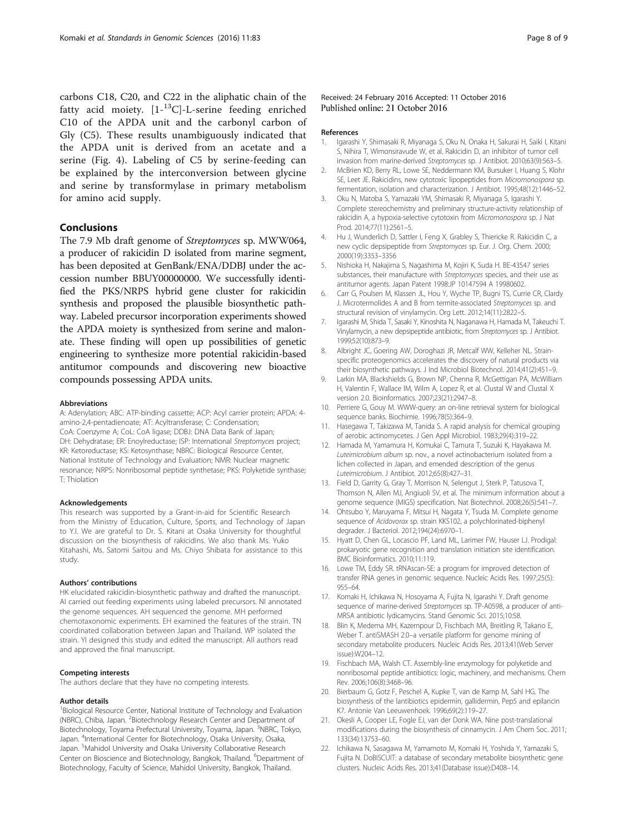<span id="page-7-0"></span>carbons C18, C20, and C22 in the aliphatic chain of the fatty acid moiety.  $[1 -$ <sup>13</sup>C $]$ -L-serine feeding enriched C10 of the APDA unit and the carbonyl carbon of Gly (C5). These results unambiguously indicated that the APDA unit is derived from an acetate and a serine (Fig. [4](#page-6-0)). Labeling of C5 by serine-feeding can be explained by the interconversion between glycine and serine by transformylase in primary metabolism for amino acid supply.

### Conclusions

The 7.9 Mb draft genome of [Streptomyces](http://doi.org/10.1601/nm.6817) sp. MWW064, a producer of rakicidin D isolated from marine segment, has been deposited at GenBank/ENA/DDBJ under the accession number [BBUY00000000.](https://www.ncbi.nlm.nih.gov/nuccore/BBUY00000000) We successfully identified the PKS/NRPS hybrid gene cluster for rakicidin synthesis and proposed the plausible biosynthetic pathway. Labeled precursor incorporation experiments showed the APDA moiety is synthesized from serine and malonate. These finding will open up possibilities of genetic engineering to synthesize more potential rakicidin-based antitumor compounds and discovering new bioactive compounds possessing APDA units.

#### Abbreviations

A: Adenylation; ABC: ATP-binding cassette; ACP: Acyl carrier protein; APDA: 4 amino-2,4-pentadienoate; AT: Acyltransferase; C: Condensation; CoA: Coenzyme A; CoL: CoA ligase; DDBJ: DNA Data Bank of Japan; DH: Dehydratase; ER: Enoylreductase; ISP: International Streptomyces project; KR: Ketoreductase; KS: Ketosynthase; NBRC: Biological Resource Center, National Institute of Technology and Evaluation; NMR: Nuclear magnetic resonance; NRPS: Nonribosomal peptide synthetase; PKS: Polyketide synthase; T: Thiolation

#### Acknowledgements

This research was supported by a Grant-in-aid for Scientific Research from the Ministry of Education, Culture, Sports, and Technology of Japan to Y.I. We are grateful to Dr. S. Kitani at Osaka University for thoughtful discussion on the biosynthesis of rakicidins. We also thank Ms. Yuko Kitahashi, Ms. Satomi Saitou and Ms. Chiyo Shibata for assistance to this study.

#### Authors' contributions

HK elucidated rakicidin-biosynthetic pathway and drafted the manuscript. AI carried out feeding experiments using labeled precursors. NI annotated the genome sequences. AH sequenced the genome. MH performed chemotaxonomic experiments. EH examined the features of the strain. TN coordinated collaboration between Japan and Thailand. WP isolated the strain. YI designed this study and edited the manuscript. All authors read and approved the final manuscript.

#### Competing interests

The authors declare that they have no competing interests.

#### Author details

<sup>1</sup> Biological Resource Center, National Institute of Technology and Evaluation (NBRC), Chiba, Japan. <sup>2</sup> Biotechnology Research Center and Department of Biotechnology, Toyama Prefectural University, Toyama, Japan. <sup>3</sup>NBRC, Tokyo, Japan. <sup>4</sup>International Center for Biotechnology, Osaka University, Osaka, Japan. <sup>5</sup>Mahidol University and Osaka University Collaborative Research Center on Bioscience and Biotechnology, Bangkok, Thailand. <sup>6</sup>Department of Biotechnology, Faculty of Science, Mahidol University, Bangkok, Thailand.

#### References

- 1. Igarashi Y, Shimasaki R, Miyanaga S, Oku N, Onaka H, Sakurai H, Saiki I, Kitani S, Nihira T, Wimonsiravude W, et al. Rakicidin D, an inhibitor of tumor cell invasion from marine-derived Streptomyces sp. J Antibiot. 2010;63(9):563–5.
- 2. McBrien KD, Berry RL, Lowe SE, Neddermann KM, Bursuker I, Huang S, Klohr SE, Leet JE. Rakicidins, new cytotoxic lipopeptides from Micromonospora sp. fermentation, isolation and characterization. J Antibiot. 1995;48(12):1446–52.
- 3. Oku N, Matoba S, Yamazaki YM, Shimasaki R, Miyanaga S, Igarashi Y. Complete stereochemistry and preliminary structure-activity relationship of rakicidin A, a hypoxia-selective cytotoxin from Micromonospora sp. J Nat Prod. 2014;77(11):2561–5.
- 4. Hu J, Wunderlich D, Sattler I, Feng X, Grabley S, Thiericke R. Rakicidin C, a new cyclic depsipeptide from Streptomyces sp. Eur. J. Org. Chem. 2000; 2000(19):3353–3356
- 5. Nishioka H, Nakajima S, Nagashima M, Kojiri K, Suda H. BE-43547 series substances, their manufacture with Streptomyces species, and their use as antitumor agents. Japan Patent 1998:JP 10147594 A 19980602.
- Carr G, Poulsen M, Klassen JL, Hou Y, Wyche TP, Bugni TS, Currie CR, Clardy J. Microtermolides A and B from termite-associated Streptomyces sp. and structural revision of vinylamycin. Org Lett. 2012;14(11):2822–5.
- 7. Igarashi M, Shida T, Sasaki Y, Kinoshita N, Naganawa H, Hamada M, Takeuchi T. Vinylamycin, a new depsipeptide antibiotic, from Streptomyces sp. J Antibiot. 1999;52(10):873–9.
- 8. Albright JC, Goering AW, Doroghazi JR, Metcalf WW, Kelleher NL. Strainspecific proteogenomics accelerates the discovery of natural products via their biosynthetic pathways. J Ind Microbiol Biotechnol. 2014;41(2):451–9.
- 9. Larkin MA, Blackshields G, Brown NP, Chenna R, McGettigan PA, McWilliam H, Valentin F, Wallace IM, Wilm A, Lopez R, et al. Clustal W and Clustal X version 2.0. Bioinformatics. 2007;23(21):2947–8.
- 10. Perriere G, Gouy M. WWW-query: an on-line retrieval system for biological sequence banks. Biochimie. 1996;78(5):364–9.
- 11. Hasegawa T, Takizawa M, Tanida S. A rapid analysis for chemical grouping of aerobic actinomycetes. J Gen Appl Microbiol. 1983;29(4):319–22.
- 12. Hamada M, Yamamura H, Komukai C, Tamura T, Suzuki K, Hayakawa M. Luteimicrobium album sp. nov., a novel actinobacterium isolated from a lichen collected in Japan, and emended description of the genus Luteimicrobium. J Antibiot. 2012;65(8):427–31.
- 13. Field D, Garrity G, Gray T, Morrison N, Selengut J, Sterk P, Tatusova T, Thomson N, Allen MJ, Angiuoli SV, et al. The minimum information about a genome sequence (MIGS) specification. Nat Biotechnol. 2008;26(5):541–7.
- 14. Ohtsubo Y, Maruyama F, Mitsui H, Nagata Y, Tsuda M. Complete genome sequence of Acidovorax sp. strain KKS102, a polychlorinated-biphenyl degrader. J Bacteriol. 2012;194(24):6970–1.
- 15. Hyatt D, Chen GL, Locascio PF, Land ML, Larimer FW, Hauser LJ. Prodigal: prokaryotic gene recognition and translation initiation site identification. BMC Bioinformatics. 2010;11:119.
- 16. Lowe TM, Eddy SR. tRNAscan-SE: a program for improved detection of transfer RNA genes in genomic sequence. Nucleic Acids Res. 1997;25(5): 955–64.
- 17. Komaki H, Ichikawa N, Hosoyama A, Fujita N, Igarashi Y. Draft genome sequence of marine-derived Streptomyces sp. TP-A0598, a producer of anti-MRSA antibiotic lydicamycins. Stand Genomic Sci. 2015;10:58.
- 18. Blin K, Medema MH, Kazempour D, Fischbach MA, Breitling R, Takano E, Weber T. antiSMASH 2.0–a versatile platform for genome mining of secondary metabolite producers. Nucleic Acids Res. 2013;41(Web Server issue):W204–12.
- 19. Fischbach MA, Walsh CT. Assembly-line enzymology for polyketide and nonribosomal peptide antibiotics: logic, machinery, and mechanisms. Chem Rev. 2006;106(8):3468–96.
- 20. Bierbaum G, Gotz F, Peschel A, Kupke T, van de Kamp M, Sahl HG. The biosynthesis of the lantibiotics epidermin, gallidermin, Pep5 and epilancin K7. Antonie Van Leeuwenhoek. 1996;69(2):119–27.
- 21. Okesli A, Cooper LE, Fogle EJ, van der Donk WA. Nine post-translational modifications during the biosynthesis of cinnamycin. J Am Chem Soc. 2011; 133(34):13753–60.
- 22. Ichikawa N, Sasagawa M, Yamamoto M, Komaki H, Yoshida Y, Yamazaki S, Fujita N. DoBISCUIT: a database of secondary metabolite biosynthetic gene clusters. Nucleic Acids Res. 2013;41(Database issue):D408–14.